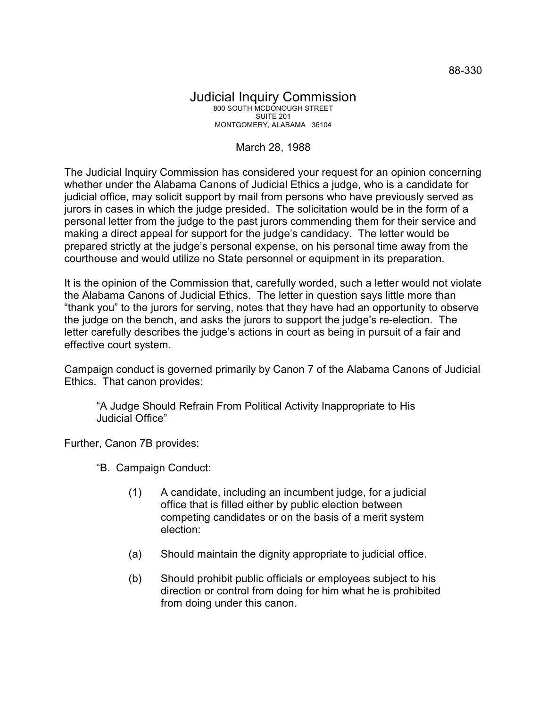## Judicial Inquiry Commission 800 SOUTH MCDONOUGH STREET SUITE 201 MONTGOMERY, ALABAMA 36104

## March 28, 1988

The Judicial Inquiry Commission has considered your request for an opinion concerning whether under the Alabama Canons of Judicial Ethics a judge, who is a candidate for judicial office, may solicit support by mail from persons who have previously served as jurors in cases in which the judge presided. The solicitation would be in the form of a personal letter from the judge to the past jurors commending them for their service and making a direct appeal for support for the judge's candidacy. The letter would be prepared strictly at the judge's personal expense, on his personal time away from the courthouse and would utilize no State personnel or equipment in its preparation.

It is the opinion of the Commission that, carefully worded, such a letter would not violate the Alabama Canons of Judicial Ethics. The letter in question says little more than "thank you" to the jurors for serving, notes that they have had an opportunity to observe the judge on the bench, and asks the jurors to support the judge's re-election. The letter carefully describes the judge's actions in court as being in pursuit of a fair and effective court system.

Campaign conduct is governed primarily by Canon 7 of the Alabama Canons of Judicial Ethics. That canon provides:

"A Judge Should Refrain From Political Activity Inappropriate to His Judicial Office"

Further, Canon 7B provides:

"B. Campaign Conduct:

- (1) A candidate, including an incumbent judge, for a judicial office that is filled either by public election between competing candidates or on the basis of a merit system election:
- (a) Should maintain the dignity appropriate to judicial office.
- (b) Should prohibit public officials or employees subject to his direction or control from doing for him what he is prohibited from doing under this canon.